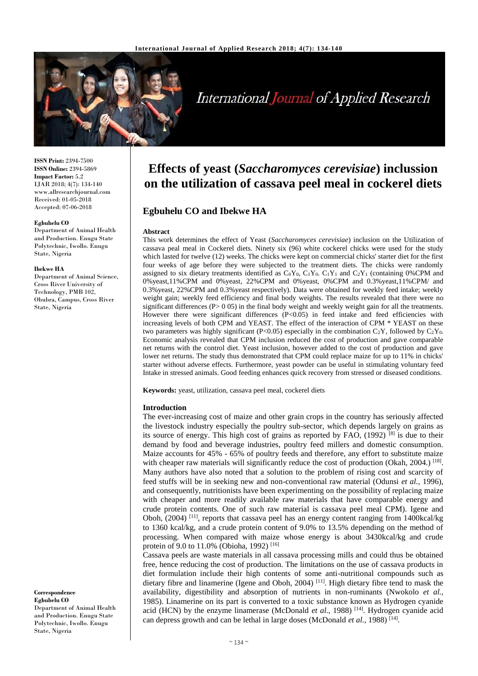

# **International Journal of Applied Research**

**ISSN Print:** 2394-7500 **ISSN Online:** 2394-5869 **Impact Factor:** 5.2 IJAR 2018; 4(7): 134-140 www.allresearchjournal.com Received: 01-05-2018 Accepted: 07-06-2018

#### **Egbuhelu CO**

Department of Animal Health and Production. Enugu State Polytechnic, Iwollo. Enugu State, Nigeria

#### **Ibekwe HA**

Department of Animal Science, Cross River University of Technology, PMB 102, Obubra, Campus, Cross River State, Nigeria

**Correspondence Egbuhelu CO** Department of Animal Health

and Production. Enugu State Polytechnic, Iwollo. Enugu State, Nigeria

## **Effects of yeast (***Saccharomyces cerevisiae***) inclussion on the utilization of cassava peel meal in cockerel diets**

## **Egbuhelu CO and Ibekwe HA**

#### **Abstract**

This work determines the effect of Yeast (*Saccharomyces cerevisiae*) inclusion on the Utilization of cassava peal meal in Cockerel diets. Ninety six (96) white cockerel chicks were used for the study which lasted for twelve (12) weeks. The chicks were kept on commercial chicks' starter diet for the first four weeks of age before they were subjected to the treatment diets. The chicks were randomly assigned to six dietary treatments identified as  $C_0Y_0$ ,  $C_1Y_0$ .  $C_1Y_1$  and  $C_2Y_1$  (containing 0%CPM and 0%yeast,11%CPM and 0%yeast, 22%CPM and 0%yeast, 0%CPM and 0.3%yeast,11%CPM/ and 0.3%yeast, 22%CPM and 0.3%yeast respectively). Data were obtained for weekly feed intake; weekly weight gain; weekly feed efficiency and final body weights. The results revealed that there were no significant differences ( $P>0.05$ ) in the final body weight and weekly weight gain for all the treatments. However there were significant differences  $(P<0.05)$  in feed intake and feed efficiencies with increasing levels of both CPM and YEAST. The effect of the interaction of CPM \* YEAST on these two parameters was highly significant (P<0.05) especially in the combination C<sub>2</sub>Y, followed by C<sub>2</sub>Y<sub>0</sub>. Economic analysis revealed that CPM inclusion reduced the cost of production and gave comparable net returns with the control diet. Yeast inclusion, however added to the cost of production and gave lower net returns. The study thus demonstrated that CPM could replace maize for up to 11% in chicks' starter without adverse effects. Furthermore, yeast powder can be useful in stimulating voluntary feed Intake in stressed animals. Good feeding enhances quick recovery from stressed or diseased conditions.

**Keywords:** yeast, utilization, cassava peel meal, cockerel diets

#### **Introduction**

The ever-increasing cost of maize and other grain crops in the country has seriously affected the livestock industry especially the poultry sub-sector, which depends largely on grains as its source of energy. This high cost of grains as reported by FAO,  $(1992)^{[8]}$  is due to their demand by food and beverage industries, poultry feed millers and domestic consumption. Maize accounts for 45% - 65% of poultry feeds and therefore, any effort to substitute maize with cheaper raw materials will significantly reduce the cost of production (Okah, 2004.) <sup>[18]</sup>. Many authors have also noted that a solution to the problem of rising cost and scarcity of feed stuffs will be in seeking new and non-conventional raw material (Odunsi *et al.,* 1996), and consequently, nutritionists have been experimenting on the possibility of replacing maize with cheaper and more readily available raw materials that have comparable energy and crude protein contents. One of such raw material is cassava peel meal CPM). Igene and Oboh,  $(2004)$ <sup>[11]</sup>, reports that cassava peel has an energy content ranging from 1400kcal/kg to 1360 kcal/kg, and a crude protein content of 9.0% to 13.5% depending on the method of processing. When compared with maize whose energy is about 3430kcal/kg and crude protein of 9.0 to 11.0% (Obioha, 1992)<sup>[16]</sup>

Cassava peels are waste materials in all cassava processing mills and could thus be obtained free, hence reducing the cost of production. The limitations on the use of cassava products in diet formulation include their high contents of some anti-nutritional compounds such as dietary fibre and linamerine (Igene and Oboh, 2004)<sup>[11]</sup>. High dietary fibre tend to mask the availability, digestibility and absorption of nutrients in non-ruminants (Nwokolo *et al.,*  1985). Linamerine on its part is converted to a toxic substance known as Hydrogen cyanide acid (HCN) by the enzyme linamerase (McDonald *et al.,* 1988) [14]. Hydrogen cyanide acid can depress growth and can be lethal in large doses (McDonald *et al.*, 1988)<sup>[14]</sup>.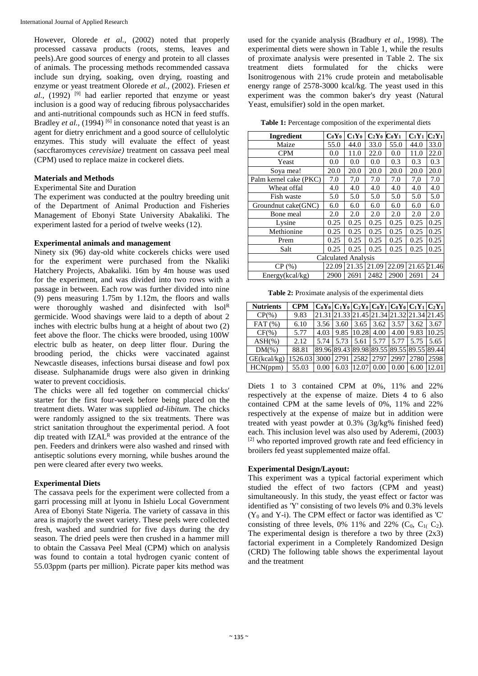However, Olorede *et al.,* (2002) noted that properly processed cassava products (roots, stems, leaves and peels).Are good sources of energy and protein to all classes of animals. The processing methods recommended cassava include sun drying, soaking, oven drying, roasting and enzyme or yeast treatment Olorede *et al.,* (2002). Friesen *et al.,* (1992)<sup>[9]</sup> had earlier reported that enzyme or yeast inclusion is a good way of reducing fibrous polysaccharides and anti-nutritional compounds such as HCN in feed stuffs. Bradley *et al.*, (1994) <sup>[6]</sup> in consonance noted that yeast is an agent for dietry enrichment and a good source of cellulolytic enzymes. This study will evaluate the effect of yeast (saccftaromyces *cerevisiae)* treatment on cassava peel meal (CPM) used to replace maize in cockerel diets.

## **Materials and Methods**

## Experimental Site and Duration

The experiment was conducted at the poultry breeding unit of the Department of Animal Production and Fisheries Management of Ebonyi State University Abakaliki. The experiment lasted for a period of twelve weeks (12).

#### **Experimental animals and management**

Ninety six (96) day-old white cockerels chicks were used for the experiment were purchased from the Nkaliki Hatchery Projects, Abakaliki. 16m by 4m house was used for the experiment, and was divided into two rows with a passage in between. Each row was further divided into nine (9) pens measuring 1.75m by 1.12m, the floors and walls were thoroughly washed and disinfected with lsol<sup>R</sup> germicide. Wood shavings were laid to a depth of about 2 inches with electric bulbs hung at a height of about two (2) feet above the floor. The chicks were brooded, using 100W electric bulb as heater, on deep litter flour. During the brooding period, the chicks were vaccinated against Newcastle diseases, infections bursai disease and fowl pox disease. Sulphanamide drugs were also given in drinking water to prevent coccidiosis.

The chicks were all fed together on commercial chicks' starter for the first four-week before being placed on the treatment diets. Water was supplied *ad*-*libitum.* The chicks were randomly assigned to the six treatments. There was strict sanitation throughout the experimental period. A foot dip treated with IZAL<sup>R</sup> was provided at the entrance of the pen. Feeders and drinkers were also washed and rinsed with antiseptic solutions every morning, while bushes around the pen were cleared after every two weeks.

## **Experimental Diets**

The cassava peels for the experiment were collected from a garri processing mill at lyonu in Ishielu Local Government Area of Ebonyi State Nigeria. The variety of cassava in this area is majorly the sweet variety. These peels were collected fresh, washed and sundried for five days during the dry season. The dried peels were then crushed in a hammer mill to obtain the Cassava Peel Meal (CPM) which on analysis was found to contain a total hydrogen cyanic content of 55.03ppm (parts per million). Picrate paper kits method was

used for the cyanide analysis (Bradbury *et al.,* 1998). The experimental diets were shown in Table 1, while the results of proximate analysis were presented in Table 2. The six treatment diets formulated for the chicks were Isonitrogenous with 21% crude protein and metabolisable energy range of 2578-3000 kcal/kg. The yeast used in this experiment was the common baker's dry yeast (Natural Yeast, emulsifier) sold in the open market.

**Table 1:** Percentage composition of the experimental diets

| <b>Ingredient</b>          | $CoY_0$ | $C_1Y_0$ | $C_2Y_0$ | $CoY_1$ | $C_1Y_1$ | $C_2Y_1$ |
|----------------------------|---------|----------|----------|---------|----------|----------|
| Maize                      | 55.0    | 44.0     | 33.0     | 55.0    | 44.0     | 33.0     |
| <b>CPM</b>                 | 0.0     | 11.0     | 22.0     | 0.0     | 11.0     | 22.0     |
| Yeast                      | 0.0     | 0.0      | 0.0      | 0.3     | 0.3      | 0.3      |
| Sova mea!                  | 20.0    | 20.0     | 20.0     | 20.0    | 20.0     | 20.0     |
| Palm kernel cake (PKC)     | 7.0     | 7,0      | 7.0      | 7.0     | 7,0      | 7.0      |
| Wheat offal                | 4.0     | 4.0      | 4.0      | 4.0     | 4.0      | 4.0      |
| Fish waste                 | 5.0     | 5.0      | 5.0      | 5.0     | 5.0      | 5.0      |
| Groundnut cake(GNC)        | 6.0     | 6.0      | 6.0      | 6.0     | 6.0      | 6.0      |
| Bone meal                  | 2.0     | 2.0      | 2.0      | 2.0     | 2.0      | 2.0      |
| Lysine                     | 0.25    | 0.25     | 0.25     | 0.25    | 0.25     | 0.25     |
| Methionine                 | 0.25    | 0.25     | 0.25     | 0.25    | 0.25     | 0.25     |
| Prem                       | 0.25    | 0.25     | 0.25     | 0.25    | 0.25     | 0.25     |
| Salt                       | 0.25    | 0.25     | 0.25     | 0.25    | 0.25     | 0.25     |
| <b>Calculated Analysis</b> |         |          |          |         |          |          |
| CP(%)                      | 22.09   | 21.35    | 21.09    | 22.09   | 21.65    | 21.46    |
| Energy(kcal/kg)            | 2900    | 2691     | 2482     | 2900    | 2691     | 24       |

**Table 2:** Proximate analysis of the experimental diets

| <b>Nutrients</b> | <b>CPM</b> |      | $ C_0Y_0 C_1Y_0 C_2Y_0 C_0Y_1 C_0Y_0 C_1Y_1 C_2Y_1$ |       |      |      |      |       |
|------------------|------------|------|-----------------------------------------------------|-------|------|------|------|-------|
| $CP(\% )$        | 9.83       |      | 21.31 21.33 21.45 21.34 21.32 21.34 21.45           |       |      |      |      |       |
| FAT(%)           | 6.10       | 3.56 | 3.60                                                | 3.65  | 3.62 | 3.57 | 3.62 | 3.67  |
| $CF(\%)$         | 5.77       | 4.03 | 9.85                                                | 10.28 | 4.00 | 4.00 | 9.83 | 10.25 |
| $ASH(\% )$       | 2.12       | 5.74 | 5.73                                                | 5.61  | 5.77 | 5.77 | 5.75 | 5.65  |
| $DM(\%)$         | 88.81      |      | 89.96 89.43 89.98 89.55 89.55 89.55 89.44           |       |      |      |      |       |
| GE(kcal/kg)      | 1526.03    | 3000 | 2791                                                | 2582  | 2797 | 2997 | 2780 | 2598  |
| HCN(ppm)         | 55.03      | 0.00 | 6.03                                                | 12.07 | 0.00 | 0.00 | 6.00 | 12.01 |

Diets 1 to 3 contained CPM at 0%, 11% and 22% respectively at the expense of maize. Diets 4 to 6 also contained CPM at the same levels of 0%, 11% and 22% respectively at the expense of maize but in addition were treated with yeast powder at 0.3% (3g/kg% finished feed) each. This inclusion level was also used by Aderemi, (2003) [2] who reported improved growth rate and feed efficiency in broilers fed yeast supplemented maize offal.

## **Experimental Design/Layout:**

This experiment was a typical factorial experiment which studied the effect of two factors (CPM and yeast) simultaneously. In this study, the yeast effect or factor was identified as 'Y' consisting of two levels 0% and 0.3% levels  $(Y_0$  and Y-i). The CPM effect or factor was identified as 'C' consisting of three levels, 0% 11% and 22%  $(C_0, C_1, C_2)$ . The experimental design is therefore a two by three  $(2x3)$ factorial experiment in a Completely Randomized Design (CRD) The following table shows the experimental layout and the treatment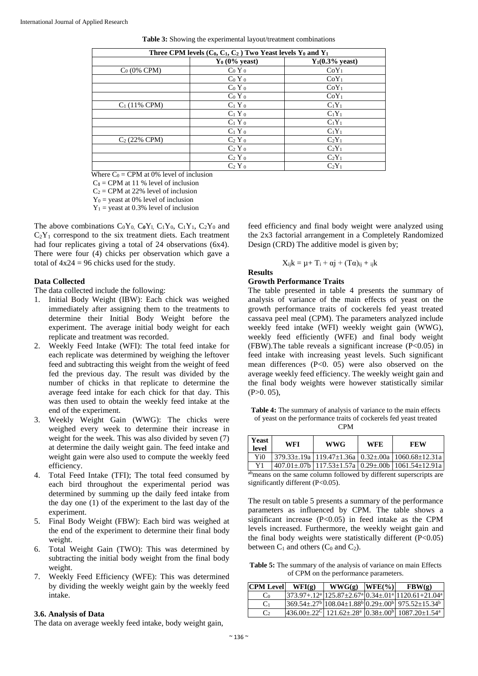| Three CPM levels $(C_0, C_1, C_2)$ Two Yeast levels $Y_0$ and $Y_1$ |                      |                            |  |  |  |  |  |
|---------------------------------------------------------------------|----------------------|----------------------------|--|--|--|--|--|
|                                                                     | $Y_0$ (0% yeast)     | $Y_1(0.3\% \text{ yeast})$ |  |  |  |  |  |
| $C_0$ (0% CPM)                                                      | $Co$ Y $o$           | $CoY_1$                    |  |  |  |  |  |
|                                                                     | $Co$ Y $o$           | $CoY_1$                    |  |  |  |  |  |
|                                                                     | $CoY_0$              | $CoY_1$                    |  |  |  |  |  |
|                                                                     | $Co$ Y $o$           | $CoY_1$                    |  |  |  |  |  |
| $C_1(11\% \text{ CPM})$                                             | $C_1$ Y $_0$         | $C_1Y_1$                   |  |  |  |  |  |
|                                                                     | $C_1$ Y $_0$         | $C_1Y_1$                   |  |  |  |  |  |
|                                                                     | $C_1$ Y $_0$         | $C_1Y_1$                   |  |  |  |  |  |
|                                                                     | $C_1$ Y $_0$         | $C_1Y_1$                   |  |  |  |  |  |
| $C_2$ (22% CPM)                                                     | $C_2$ Y $_0$         | $C_2Y_1$                   |  |  |  |  |  |
|                                                                     | $C_2$ Y <sub>0</sub> | $C_2Y_1$                   |  |  |  |  |  |
|                                                                     | $C_2$ Y $_0$         | $C_2Y_1$                   |  |  |  |  |  |
|                                                                     | $C_2$ Y <sub>0</sub> | $C_2Y_1$                   |  |  |  |  |  |

**Table 3:** Showing the experimental layout/treatment combinations

Where  $C_0 = CPM$  at 0% level of inclusion

 $C_1$  = CPM at 11 % level of inclusion

 $C_2 = \text{CPM}$  at 22% level of inclusion

 $Y_0$  = yeast at 0% level of inclusion

 $Y_1$  = yeast at 0.3% level of inclusion

The above combinations  $C_0Y_0$ ,  $C_0Y_1$ ,  $C_1Y_0$ ,  $C_1Y_1$ ,  $C_2Y_0$  and  $C_2Y_1$  correspond to the six treatment diets. Each treatment had four replicates giving a total of 24 observations (6x4). There were four (4) chicks per observation which gave a total of  $4x24 = 96$  chicks used for the study.

#### **Data Collected**

The data collected include the following:

- 1. Initial Body Weight (IBW): Each chick was weighed immediately after assigning them to the treatments to determine their Initial Body Weight before the experiment. The average initial body weight for each replicate and treatment was recorded.
- 2. Weekly Feed Intake (WFI): The total feed intake for each replicate was determined by weighing the leftover feed and subtracting this weight from the weight of feed fed the previous day. The result was divided by the number of chicks in that replicate to determine the average feed intake for each chick for that day. This was then used to obtain the weekly feed intake at the end of the experiment.
- 3. Weekly Weight Gain (WWG): The chicks were weighed every week to determine their increase in weight for the week. This was also divided by seven (7) at determine the daily weight gain. The feed intake and weight gain were also used to compute the weekly feed efficiency.
- 4. Total Feed Intake (TFI); The total feed consumed by each bird throughout the experimental period was determined by summing up the daily feed intake from the day one (1) of the experiment to the last day of the experiment.
- 5. Final Body Weight (FBW): Each bird was weighed at the end of the experiment to determine their final body weight.
- 6. Total Weight Gain (TWO): This was determined by subtracting the initial body weight from the final body weight.
- 7. Weekly Feed Efficiency (WFE): This was determined by dividing the weekly weight gain by the weekly feed intake.

#### **3.6. Analysis of Data**

The data on average weekly feed intake, body weight gain,

feed efficiency and final body weight were analyzed using the 2x3 factorial arrangement in a Completely Randomized Design (CRD) The additive model is given by;

$$
X_{ij}k = \mu + T_i + \alpha j + (T\alpha)_{ij} +_{ijk}
$$

## **Results**

## **Growth Performance Traits**

The table presented in table 4 presents the summary of analysis of variance of the main effects of yeast on the growth performance traits of cockerels fed yeast treated cassava peel meal (CPM). The parameters analyzed include weekly feed intake (WFI) weekly weight gain (WWG), weekly feed efficiently (WFE) and final body weight (FBW).The table reveals a significant increase (P<0.05) in feed intake with increasing yeast levels. Such significant mean differences (P<0. 05) were also observed on the average weekly feed efficiency. The weekly weight gain and the final body weights were however statistically similar  $(P>0, 05)$ ,

**Table 4:** The summary of analysis of variance to the main effects of yeast on the performance traits of cockerels fed yeast treated CPM

| Yeast<br>level | WFI | <b>WWG</b> | <b>WFE</b> | FEW                                                                              |
|----------------|-----|------------|------------|----------------------------------------------------------------------------------|
| Yi∩            |     |            |            | $379.33 \pm 0.19a$ 119.47 $\pm$ 1.36a 0.32 $\pm$ 00a 1060.68 $\pm$ 12.31a        |
|                |     |            |            | $407.01 \pm .07$ b   117.53 $\pm$ 1.57a   0.29 $\pm$ .00b   1061.54 $\pm$ 12.91a |

abmeans on the same column followed by different superscripts are significantly different (P<0.05).

The result on table 5 presents a summary of the performance parameters as influenced by CPM. The table shows a significant increase  $(P<0.05)$  in feed intake as the CPM levels increased. Furthermore, the weekly weight gain and the final body weights were statistically different  $(P<0.05)$ between  $C_1$  and others ( $C_0$  and  $C_2$ ).

**Table 5:** The summary of the analysis of variance on main Effects of CPM on the performance parameters.

| <b>CPM Level</b> | WFI(g) | $WWG(g)$ $ WFE(\%) $ | FBW(g)                                                                                                                                                                                                                                                                                                                |
|------------------|--------|----------------------|-----------------------------------------------------------------------------------------------------------------------------------------------------------------------------------------------------------------------------------------------------------------------------------------------------------------------|
| Co               |        |                      | $[373.97+.12^a]$ $[125.87 \pm 2.67^a]$ $[0.34 \pm .01^a]$ $[1120.61 \pm 21.04^a]$                                                                                                                                                                                                                                     |
| C <sub>1</sub>   |        |                      | $369.54 \pm .27^b \mid 108.04 \pm 1.88^b \mid 0.29 \pm .00^b \mid 975.52 \pm 15.34^b$                                                                                                                                                                                                                                 |
| $\mathbf{C}$     |        |                      | $ 436.00 \pm .22^{\circ}  121.62 \pm .28^{\circ}  0.38 \pm .00^{\circ}  1087.20 \pm 1.54^{\circ}  1087.20 \pm 1.54^{\circ}  1087.20 \pm 1.54^{\circ}  1087.20 \pm 1.54^{\circ}  1087.20 \pm 1.54^{\circ}  1087.20 \pm 1.54^{\circ}  1087.20 \pm 1.54^{\circ}  1087.20 \pm 1.54^{\circ}  1087.20 \pm 1.54^{\circ}  10$ |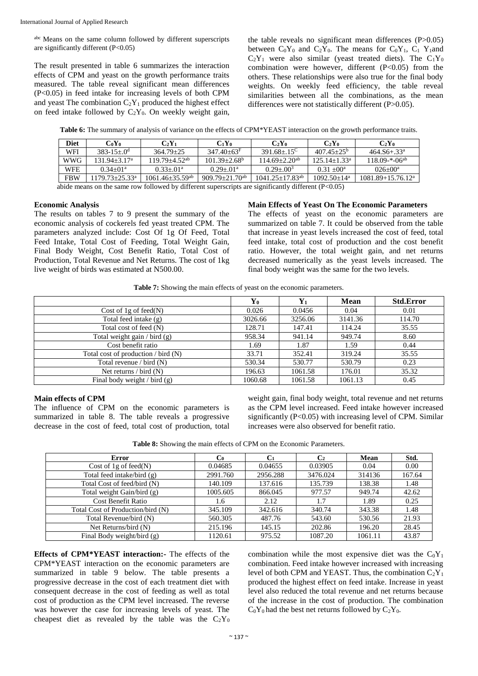abc Means on the same column followed by different superscripts are significantly different (P<0.05)

The result presented in table 6 summarizes the interaction effects of CPM and yeast on the growth performance traits measured. The table reveal significant mean differences (P<0.05) in feed intake for increasing levels of both CPM and yeast The combination  $C_2Y_1$  produced the highest effect on feed intake followed by  $C_2Y_0$ . On weekly weight gain,

the table reveals no significant mean differences (P>0.05) between  $C_0Y_0$  and  $C_2Y_0$ . The means for  $C_0Y_1$ ,  $C_1Y_1$  and  $C_2Y_1$  were also similar (yeast treated diets). The  $C_1Y_0$ combination were however, different  $(P<0.05)$  from the others. These relationships were also true for the final body weights. On weekly feed efficiency, the table reveal similarities between all the combinations, as the mean differences were not statistically different (P>0.05).

**Table 6:** The summary of analysis of variance on the effects of CPM\*YEAST interaction on the growth performance traits.

| <b>Diet</b> | CoYo               | $C_2Y_1$                                                                                                                          | $C_1Y_0$                       | $C_2Y_0$               | $C_2Y_0$          | $C_2Y_0$              |
|-------------|--------------------|-----------------------------------------------------------------------------------------------------------------------------------|--------------------------------|------------------------|-------------------|-----------------------|
| WFI         | $383 - 15 + 0^d$   | $364.79 + 25$                                                                                                                     | $347.40 + 63^{\mathrm{F}}$     | $391.68 + 15^{\circ}$  | $407.45 + 25^{b}$ | $464.56 + .33a$       |
| <b>WWG</b>  | 131.94+3.17ª       | $119.79 + 4.52^{ab}$                                                                                                              | $101.39 + 2.68^{\circ}$        | $114.69 + 2.20^{ab}$   | $125.14 + 1.33^a$ | $118.09 - (-06a)$     |
| <b>WFE</b>  | $0.34 + 01a$       | $0.33 + 01^a$                                                                                                                     | $0.29 + 01a$                   | $0.29 + 003$           | $0.31 + 00^a$     | $026+00^a$            |
| <b>FBW</b>  | $179.73 + 25.33^a$ | $1061.46 + 35.59$ <sup>ab</sup>                                                                                                   | $909.79 + 21.70$ <sup>ab</sup> | $1041.25 + 17.83^{ab}$ | $1092.50 + 14a$   | $1081.89 + 15.76.12a$ |
|             |                    | $\alpha$ of $\alpha$ means on the same now followed by different synamoniate and significantly different (D $\alpha$ ) $\alpha$ ) |                                |                        |                   |                       |

abide means on the same row followed by different superscripts are significantly different (P<0.05)

#### **Economic Analysis**

The results on tables 7 to 9 present the summary of the economic analysis of cockerels fed yeast treated CPM. The parameters analyzed include: Cost Of 1g Of Feed, Total Feed Intake, Total Cost of Feeding, Total Weight Gain, Final Body Weight, Cost Benefit Ratio, Total Cost of Production, Total Revenue and Net Returns. The cost of 1kg live weight of birds was estimated at N500.00.

#### **Main Effects of Yeast On The Economic Parameters**

The effects of yeast on the economic parameters are summarized on table 7. It could be observed from the table that increase in yeast levels increased the cost of feed, total feed intake, total cost of production and the cost benefit ratio. However, the total weight gain, and net returns decreased numerically as the yeast levels increased. The final body weight was the same for the two levels.

**Table 7:** Showing the main effects of yeast on the economic parameters.

|                                         | $\mathbf{Y_0}$ |         | <b>Mean</b> | <b>Std.Error</b> |
|-----------------------------------------|----------------|---------|-------------|------------------|
| Cost of 1g of feed $(N)$                | 0.026          | 0.0456  | 0.04        | 0.01             |
| Total feed intake $(g)$                 | 3026.66        | 3256.06 | 3141.36     | 114.70           |
| Total cost of feed (N)                  | 128.71         | 147.41  | 114.24      | 35.55            |
| Total weight gain $/$ bird $(g)$        | 958.34         | 941.14  | 949.74      | 8.60             |
| Cost benefit ratio                      | 1.69           | 1.87    | 1.59        | 0.44             |
| Total cost of production $/$ bird $(N)$ | 33.71          | 352.41  | 319.24      | 35.55            |
| Total revenue / bird $(N)$              | 530.34         | 530.77  | 530.79      | 0.23             |
| Net returns $/$ bird $(N)$              | 196.63         | 1061.58 | 176.01      | 35.32            |
| Final body weight $/$ bird $(g)$        | 1060.68        | 1061.58 | 1061.13     | 0.45             |

## **Main effects of CPM**

The influence of CPM on the economic parameters is summarized in table 8. The table reveals a progressive decrease in the cost of feed, total cost of production, total weight gain, final body weight, total revenue and net returns as the CPM level increased. Feed intake however increased significantly  $(P<0.05)$  with increasing level of CPM. Similar increases were also observed for benefit ratio.

| Table 8: Showing the main effects of CPM on the Economic Parameters. |  |
|----------------------------------------------------------------------|--|
|----------------------------------------------------------------------|--|

| <b>Error</b>                      | C0       | Cı       | $\bf C_2$ | <b>Mean</b> | Std.   |
|-----------------------------------|----------|----------|-----------|-------------|--------|
| Cost of 1g of feed(N)             | 0.04685  | 0.04655  | 0.03905   | 0.04        | 0.00   |
| Total feed intake/bird (g)        | 2991.760 | 2956.288 | 3476.024  | 314136      | 167.64 |
| Total Cost of feed/bird (N)       | 140.109  | 137.616  | 135.739   | 138.38      | 1.48   |
| Total weight Gain/bird (g)        | 1005.605 | 866.045  | 977.57    | 949.74      | 42.62  |
| <b>Cost Benefit Ratio</b>         | 1.6      | 2.12     | 1.7       | 1.89        | 0.25   |
| Total Cost of Production/bird (N) | 345.109  | 342.616  | 340.74    | 343.38      | 1.48   |
| Total Revenue/bird (N)            | 560.305  | 487.76   | 543.60    | 530.56      | 21.93  |
| Net Returns/bird (N)              | 215.196  | 145.15   | 202.86    | 196.20      | 28.45  |
| Final Body weight/bird (g)        | 1120.61  | 975.52   | 1087.20   | 1061.11     | 43.87  |

**Effects of CPM\*YEAST interaction:-** The effects of the CPM\*YEAST interaction on the economic parameters are summarized in table 9 below. The table presents a progressive decrease in the cost of each treatment diet with consequent decrease in the cost of feeding as well as total cost of production as the CPM level increased. The reverse was however the case for increasing levels of yeast. The cheapest diet as revealed by the table was the  $C_2Y_0$  combination while the most expensive diet was the  $C_0Y_1$ combination. Feed intake however increased with increasing level of both CPM and YEAST. Thus, the combination  $C_2Y_1$ produced the highest effect on feed intake. Increase in yeast level also reduced the total revenue and net returns because of the increase in the cost of production. The combination  $C_0Y_0$  had the best net returns followed by  $C_2Y_0$ .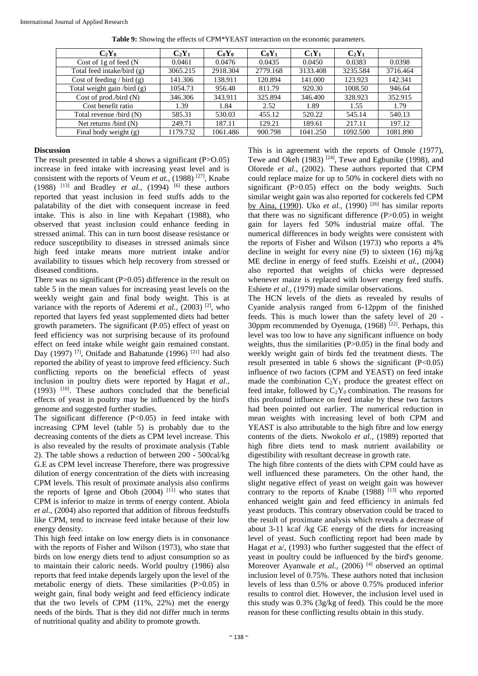| $C_2Y_0$                       | $C_2Y_1$ | $CoY_0$  | $CoY_1$  | $C_1Y_1$ | $C_2Y_1$ |          |
|--------------------------------|----------|----------|----------|----------|----------|----------|
| Cost of 1g of feed (N          | 0.0461   | 0.0476   | 0.0435   | 0.0450   | 0.0383   | 0.0398   |
| Total feed intake/bird (g)     | 3065.215 | 2918.304 | 2779.168 | 3133.408 | 3235.584 | 3716.464 |
| Cost of feeding $/$ bird $(g)$ | 141.306  | 138.911  | 120.894  | 141.000  | 123.923  | 142.341  |
| Total weight gain /bird (g)    | 1054.73  | 956.48   | 811.79   | 920.30   | 1008.50  | 946.64   |
| Cost of prod./bird $(N)$       | 346.306  | 343.911  | 325.894  | 346.400  | 328.923  | 352.915  |
| Cost benefit ratio             | 1.39     | 1.84     | 2.52     | 1.89     | 1.55     | 1.79     |
| Total revenue /bird (N)        | 585.31   | 530.03   | 455.12   | 520.22   | 545.14   | 540.13   |
| Net returns $\beta$ bird $(N)$ | 249.71   | 187.11   | 129.21   | 189.61   | 217.11   | 197.12   |
| Final body weight $(g)$        | 1179.732 | 1061.486 | 900.798  | 1041.250 | 1092.500 | 1081.890 |

**Table 9:** Showing the effects of CPM\*YEAST interaction on the economic parameters.

## **Discussion**

The result presented in table 4 shows a significant (P>O.05) increase in feed intake with increasing yeast level and is consistent with the reports of Veum *et at.*, (1988)<sup>[27]</sup>, Knabe (1988) <sup>[13]</sup> and Bradley *et al.*, (1994) <sup>[6]</sup> these authors reported that yeast inclusion in feed stuffs adds to the palatability of the diet with consequent increase in feed intake. This is also in line with Kepahart (1988), who observed that yeast inclusion could enhance feeding in stressed animal. This can in turn boost disease resistance or reduce susceptibility to diseases in stressed animals since high feed intake means more nutrient intake and/or availability to tissues which help recovery from stressed or diseased conditions.

There was no significant (P>0.05) difference in the result on table 5 in the mean values for increasing yeast levels on the weekly weight gain and final body weight. This is at variance with the reports of Aderemi *et al.*, (2003) <sup>[2]</sup>, who reported that layers fed yeast supplemented diets had better growth parameters. The significant (P.05) effect of yeast on feed efficiency was not surprising because of its profound effect on feed intake while weight gain remained constant. Day (1997) <sup>[7]</sup>, Onifade and Babatunde (1996) <sup>[21]</sup> had also reported the ability of yeast to improve feed efficiency. Such conflicting reports on the beneficial effects of yeast inclusion in poultry diets were reported by Hagat *et al.,*  (1993) [10]. These authors concluded that the beneficial effects of yeast in poultry may be influenced by the bird's genome and suggested further studies.

The significant difference (P<0.05) in feed intake with increasing CPM level (table 5) is probably due to the decreasing contents of the diets as CPM level increase. This is also revealed by the results of proximate analysis (Table 2). The table shows a reduction of between 200 - 500cal/kg G.E as CPM level increase Therefore, there was progressive dilution of energy concentration of the diets with increasing CPM levels. This result of proximate analysis also confirms the reports of Igene and Oboh  $(2004)$ <sup>[11]</sup> who states that CPM is inferior to maize in terms of energy content. Abiola *et al.,* (2004) also reported that addition of fibrous feedstuffs like CPM, tend to increase feed intake because of their low energy density.

This high feed intake on low energy diets is in consonance with the reports of Fisher and Wilson (1973), who state that birds on low energy diets tend to adjust consumption so as to maintain their caloric needs. World poultry (1986) also reports that feed intake depends largely upon the level of the metabolic energy of diets. These similarities (P>0.05) in weight gain, final body weight and feed efficiency indicate that the two levels of CPM (11%, 22%) met the energy needs of the birds. That is they did not differ much in terms of nutritional quality and ability to promote growth.

This is in agreement with the reports of Omole (1977), Tewe and Okeh  $(1983)$ <sup>[24]</sup>, Tewe and Egbunike (1998), and Olorede *et al.,* (2002). These authors reported that CPM could replace maize for up to 50% in cockerel diets with no significant (P>0.05) effect on the body weights. Such similar weight gain was also reported for cockerels fed CPM by Aina, (1990). Uko et al., (1990) <sup>[26]</sup> has similar reports that there was no significant difference (P>0.05) in weight gain for layers fed 50% industrial maize offal. The numerical differences in body weights were consistent with the reports of Fisher and Wilson (1973) who reports a 4% decline in weight for every nine (9) to sixteen (16) mj/kg ME decline in energy of feed stuffs. Ezeishi *et al.,* (2004) also reported that weights of chicks were depressed whenever maize is replaced with lower energy feed stuffs. Eshiete *et al.,* (1979) made similar observations.

The HCN levels of the diets as revealed by results of Cyanide analysis ranged from 6-12ppm of the finished feeds. This is much lower than the safety level of 20 - 30ppm recommended by Oyenuga,  $(1968)$ <sup>[22]</sup>. Perhaps, this level was too low to have any significant influence on body weights, thus the similarities  $(P>0.05)$  in the final body and weekly weight gain of birds fed the treatment diests. The result presented in table 6 shows the significant  $(P<0.05)$ influence of two factors (CPM and YEAST) on feed intake made the combination  $C_2Y_1$  produce the greatest effect on feed intake, followed by  $C_2Y_0$  combination. The reasons for this profound influence on feed intake by these two factors had been pointed out earlier. The numerical reduction in mean weights with increasing level of both CPM and YEAST is also attributable to the high fibre and low energy contents of the diets. Nwokolo *et al.,* (1989) reported that high fibre diets tend to mask nutrient availability or digestibility with resultant decrease in growth rate.

The high fibre contents of the diets with CPM could have as well influenced these parameters. On the other hand, the slight negative effect of yeast on weight gain was however contrary to the reports of Knabe  $(1988)$ <sup>[13]</sup> who reported enhanced weight gain and feed efficiency in animals fed yeast products. This contrary observation could be traced to the result of proximate analysis which reveals a decrease of about 3-11 kcaf /kg GE energy of the diets for increasing level of yeast. Such conflicting report had been made by Hagat *et* a/, (1993) who further suggested that the effect of yeast in poultry could be influenced by the bird's genome. Moreover Ayanwale *et al.*, (2006) <sup>[4]</sup> observed an optimal inclusion level of 0.75%. These authors noted that inclusion levels of less than 0.5% or above 0.75% produced inferior results to control diet. However, the inclusion level used in this study was 0.3% (3g/kg of feed). This could be the more reason for these conflicting results obtain in this study.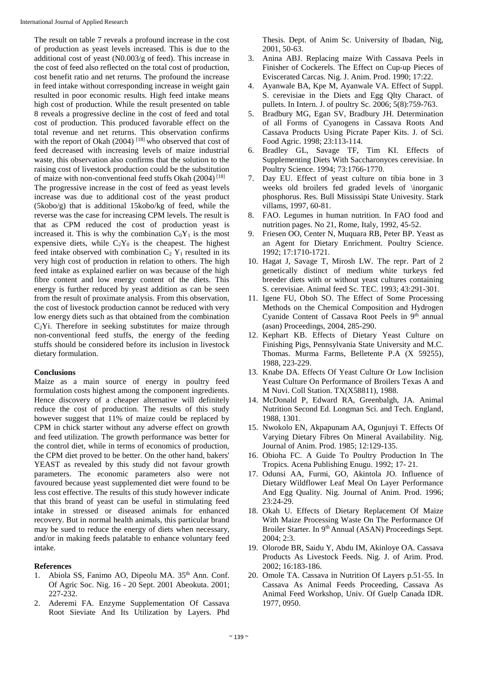The result on table 7 reveals a profound increase in the cost of production as yeast levels increased. This is due to the additional cost of yeast (N0.003/g of feed). This increase in the cost of feed also reflected on the total cost of production, cost benefit ratio and net returns. The profound the increase in feed intake without corresponding increase in weight gain resulted in poor economic results. High feed intake means high cost of production. While the result presented on table 8 reveals a progressive decline in the cost of feed and total cost of production. This produced favorable effect on the total revenue and net returns. This observation confirms with the report of Okah (2004)  $^{[18]}$  who observed that cost of feed decreased with increasing levels of maize industrial waste, this observation also confirms that the solution to the raising cost of livestock production could be the substitution of maize with non-conventional feed stuffs Okah (2004) [18] The progressive increase in the cost of feed as yeast levels increase was due to additional cost of the yeast product (5kobo/g) that is additional 15kobo/kg of feed, while the reverse was the case for increasing CPM levels. The result is that as CPM reduced the cost of production yeast is increased it. This is why the combination  $C_0Y_1$  is the most expensive diets, while  $C_2Y_0$  is the cheapest. The highest feed intake observed with combination  $C_2$  Y<sub>1</sub> resulted in its very high cost of production in relation to others. The high feed intake as explained earlier on was because of the high fibre content and low energy content of the diets. This energy is further reduced by yeast addition as can be seen from the result of proximate analysis. From this observation, the cost of livestock production cannot be reduced with very low energy diets such as that obtained from the combination  $C<sub>2</sub>$ Yi. Therefore in seeking substitutes for maize through non-conventional feed stuffs, the energy of the feeding stuffs should be considered before its inclusion in livestock dietary formulation.

## **Conclusions**

Maize as a main source of energy in poultry feed formulation costs highest among the component ingredients. Hence discovery of a cheaper alternative will definitely reduce the cost of production. The results of this study however suggest that 11% of maize could be replaced by CPM in chick starter without any adverse effect on growth and feed utilization. The growth performance was better for the control diet, while in terms of economics of production, the CPM diet proved to be better. On the other hand, bakers' YEAST as revealed by this study did not favour growth parameters. The economic parameters also were not favoured because yeast supplemented diet were found to be less cost effective. The results of this study however indicate that this brand of yeast can be useful in stimulating feed intake in stressed or diseased animals for enhanced recovery. But in normal health animals, this particular brand may be sued to reduce the energy of diets when necessary, and/or in making feeds palatable to enhance voluntary feed intake.

### **References**

- 1. Abiola SS, Fanimo AO, Dipeolu MA. 35<sup>th</sup> Ann. Conf. Of Agric Soc. Nig. 16 - 20 Sept. 2001 Abeokuta. 2001; 227-232.
- 2. Aderemi FA. Enzyme Supplementation Of Cassava Root Sieviate And Its Utilization by Layers. Phd

Thesis. Dept. of Anim Sc. University of Ibadan, Nig, 2001, 50-63.

- 3. Anina ABJ. Replacing maize With Cassava Peels in Finisher of Cockerels. The Effect on Cup-up Pieces of Eviscerated Carcas. Nig. J. Anim. Prod. 1990; 17:22.
- 4. Ayanwale BA, Kpe M, Ayanwale VA. Effect of Suppl. S. cerevisiae in the Diets and Egg Qlty Charact. of pullets. In Intern. J. of poultry Sc. 2006; 5(8):759-763.
- 5. Bradbury MG, Egan SV, Bradbury JH. Determination of all Forms of Cyanogens in Cassava Roots And Cassava Products Using Picrate Paper Kits. J. of Sci. Food Agric. 1998; 23:113-114.
- 6. Bradley GL, Savage TF, Tim KI. Effects of Supplementing Diets With Saccharonyces cerevisiae. In Poultry Science. 1994; 73:1766-1770.
- 7. Day EU. Effect of yeast culture on tibia bone in 3 weeks old broilers fed graded levels of \inorganic phosphorus. Res. Bull Mississipi State Univesity. Stark villams, 1997, 60-81.
- 8. FAO. Legumes in human nutrition. In FAO food and nutrition pages. No 21, Rome, Italy, 1992, 45-52.
- 9. Friesen OO, Center N, Muquara RB, Peter BP. Yeast as an Agent for Dietary Enrichment. Poultry Science. 1992; 17:1710-1721.
- 10. Hagat J, Savage T, Mirosh LW. The repr. Part of 2 genetically distinct of medium white turkeys fed breeder diets with or without yeast cultures containing S. cerevisiae. Animal feed Sc. TEC. 1993; 43:291-301.
- 11. Igene FU, Oboh SO. The Effect of Some Processing Methods on the Chemical Composition and Hydrogen Cyanide Content of Cassava Root Peels in 9th annual (asan) Proceedings, 2004, 285-290.
- 12. Kephart KB. Effects of Dietary Yeast Culture on Finishing Pigs, Pennsylvania State University and M.C. Thomas. Murma Farms, Belletente P.A (X 59255), 1988, 223-229.
- 13. Knabe DA. Effects Of Yeast Culture Or Low Inclision Yeast Culture On Performance of Broilers Texas A and M Nuvi. Coll Station. TX(X58811), 1988.
- 14. McDonald P, Edward RA, Greenbalgh, JA. Animal Nutrition Second Ed. Longman Sci. and Tech. England, 1988, 1301.
- 15. Nwokolo EN, Akpapunam AA, Ogunjuyi T. Effects Of Varying Dietary Fibres On Mineral Availability. Nig. Journal of Anim. Prod. 1985; 12:129-135.
- 16. Obioha FC. A Guide To Poultry Production In The Tropics. Acena Publishing Enugu. 1992; 17- 21.
- 17. Odunsi AA, Furmi, GO, Akintola JO. Influence of Dietary Wildflower Leaf Meal On Layer Performance And Egg Quality. Nig. Journal of Anim. Prod. 1996; 23:24-29.
- 18. Okah U. Effects of Dietary Replacement Of Maize With Maize Processing Waste On The Performance Of Broiler Starter. In 9<sup>th</sup> Annual (ASAN) Proceedings Sept. 2004; 2:3.
- 19. Olorode BR, Saidu Y, Abdu IM, Akinloye OA. Cassava Products As Livestock Feeds. Nig. J. of Arim. Prod. 2002; 16:183-186.
- 20. Omole TA. Cassava in Nutrition Of Layers p.51-55. In Cassava As Animal Feeds Proceeding, Cassava As Animal Feed Workshop, Univ. Of Guelp Canada IDR. 1977, 0950.